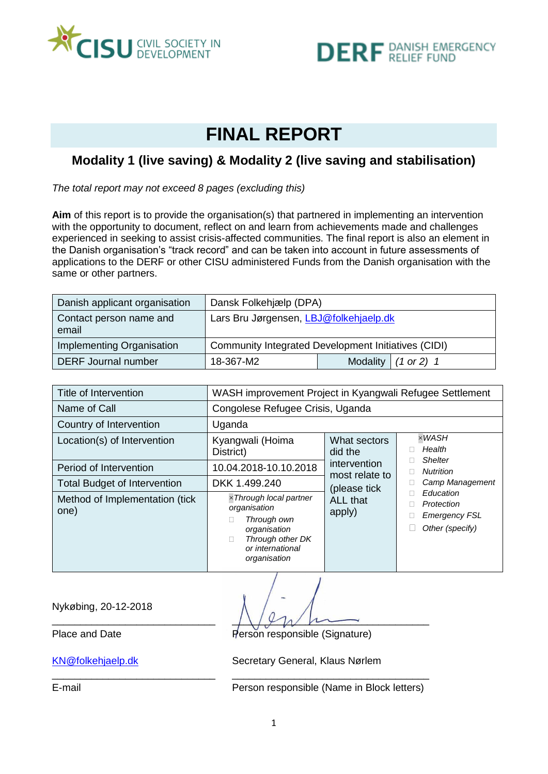



# **FINAL REPORT**

## **Modality 1 (live saving) & Modality 2 (live saving and stabilisation)**

*The total report may not exceed 8 pages (excluding this)*

**Aim** of this report is to provide the organisation(s) that partnered in implementing an intervention with the opportunity to document, reflect on and learn from achievements made and challenges experienced in seeking to assist crisis-affected communities. The final report is also an element in the Danish organisation's "track record" and can be taken into account in future assessments of applications to the DERF or other CISU administered Funds from the Danish organisation with the same or other partners.

| Danish applicant organisation    | Dansk Folkehjælp (DPA)                              |  |                       |  |  |
|----------------------------------|-----------------------------------------------------|--|-----------------------|--|--|
| Contact person name and<br>email | Lars Bru Jørgensen, LBJ@folkehjaelp.dk              |  |                       |  |  |
| Implementing Organisation        | Community Integrated Development Initiatives (CIDI) |  |                       |  |  |
| <b>DERF Journal number</b>       | 18-367-M2                                           |  | Modality $(1 or 2) 1$ |  |  |

| Title of Intervention                  | WASH improvement Project in Kyangwali Refugee Settlement                                                                                                              |                                                                  |                                                                    |  |  |  |
|----------------------------------------|-----------------------------------------------------------------------------------------------------------------------------------------------------------------------|------------------------------------------------------------------|--------------------------------------------------------------------|--|--|--|
| Name of Call                           | Congolese Refugee Crisis, Uganda                                                                                                                                      |                                                                  |                                                                    |  |  |  |
| Country of Intervention                | Uganda                                                                                                                                                                |                                                                  |                                                                    |  |  |  |
| Location(s) of Intervention            | Kyangwali (Hoima<br>District)                                                                                                                                         | What sectors<br>did the<br><i>intervention</i><br>most relate to | $\times$ WASH<br>Health                                            |  |  |  |
| Period of Intervention                 | 10.04.2018-10.10.2018                                                                                                                                                 |                                                                  | <b>Shelter</b><br><b>Nutrition</b>                                 |  |  |  |
| <b>Total Budget of Intervention</b>    | DKK 1.499.240<br>$\times$ Through local partner<br>organisation<br>apply)<br>Through own<br>organisation<br>Through other DK<br>П<br>or international<br>organisation | (please tick                                                     | Camp Management                                                    |  |  |  |
| Method of Implementation (tick<br>one) |                                                                                                                                                                       | <b>ALL that</b>                                                  | Education<br>Protection<br><b>Emergency FSL</b><br>Other (specify) |  |  |  |

Nykøbing, 20-12-2018

\_\_\_\_\_\_\_\_\_\_\_\_\_\_\_\_\_\_\_\_\_\_\_\_\_\_\_\_\_ \_\_\_\_\_\_\_\_\_\_\_\_\_\_\_\_\_\_\_\_\_\_\_\_\_\_\_\_\_\_\_\_\_\_\_

Place and Date Person responsible (Signature)

[KN@folkehjaelp.dk](mailto:KN@folkehjaelp.dk) Secretary General, Klaus Nørlem

E-mail Person responsible (Name in Block letters)

\_\_\_\_\_\_\_\_\_\_\_\_\_\_\_\_\_\_\_\_\_\_\_\_\_\_\_\_\_ \_\_\_\_\_\_\_\_\_\_\_\_\_\_\_\_\_\_\_\_\_\_\_\_\_\_\_\_\_\_\_\_\_\_\_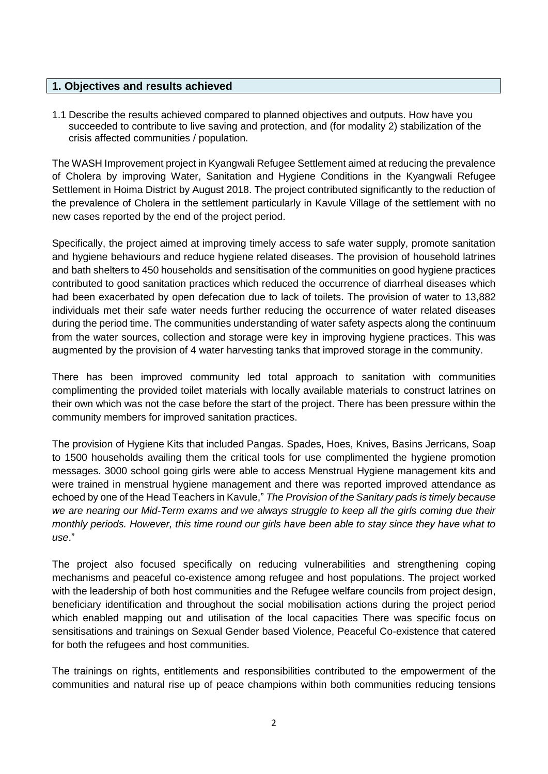#### **1. Objectives and results achieved**

1.1 Describe the results achieved compared to planned objectives and outputs. How have you succeeded to contribute to live saving and protection, and (for modality 2) stabilization of the crisis affected communities / population.

The WASH Improvement project in Kyangwali Refugee Settlement aimed at reducing the prevalence of Cholera by improving Water, Sanitation and Hygiene Conditions in the Kyangwali Refugee Settlement in Hoima District by August 2018. The project contributed significantly to the reduction of the prevalence of Cholera in the settlement particularly in Kavule Village of the settlement with no new cases reported by the end of the project period.

Specifically, the project aimed at improving timely access to safe water supply, promote sanitation and hygiene behaviours and reduce hygiene related diseases. The provision of household latrines and bath shelters to 450 households and sensitisation of the communities on good hygiene practices contributed to good sanitation practices which reduced the occurrence of diarrheal diseases which had been exacerbated by open defecation due to lack of toilets. The provision of water to 13,882 individuals met their safe water needs further reducing the occurrence of water related diseases during the period time. The communities understanding of water safety aspects along the continuum from the water sources, collection and storage were key in improving hygiene practices. This was augmented by the provision of 4 water harvesting tanks that improved storage in the community.

There has been improved community led total approach to sanitation with communities complimenting the provided toilet materials with locally available materials to construct latrines on their own which was not the case before the start of the project. There has been pressure within the community members for improved sanitation practices.

The provision of Hygiene Kits that included Pangas. Spades, Hoes, Knives, Basins Jerricans, Soap to 1500 households availing them the critical tools for use complimented the hygiene promotion messages. 3000 school going girls were able to access Menstrual Hygiene management kits and were trained in menstrual hygiene management and there was reported improved attendance as echoed by one of the Head Teachers in Kavule," *The Provision of the Sanitary pads is timely because we are nearing our Mid-Term exams and we always struggle to keep all the girls coming due their monthly periods. However, this time round our girls have been able to stay since they have what to use*."

The project also focused specifically on reducing vulnerabilities and strengthening coping mechanisms and peaceful co-existence among refugee and host populations. The project worked with the leadership of both host communities and the Refugee welfare councils from project design, beneficiary identification and throughout the social mobilisation actions during the project period which enabled mapping out and utilisation of the local capacities There was specific focus on sensitisations and trainings on Sexual Gender based Violence, Peaceful Co-existence that catered for both the refugees and host communities.

The trainings on rights, entitlements and responsibilities contributed to the empowerment of the communities and natural rise up of peace champions within both communities reducing tensions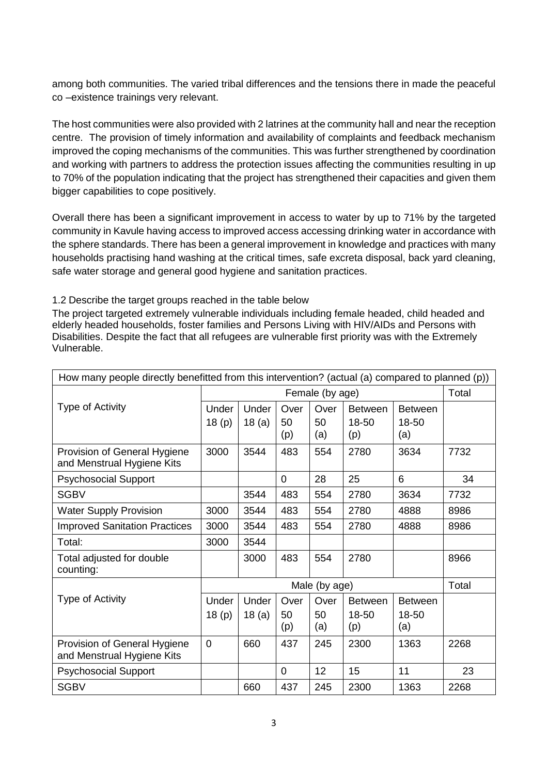among both communities. The varied tribal differences and the tensions there in made the peaceful co –existence trainings very relevant.

The host communities were also provided with 2 latrines at the community hall and near the reception centre. The provision of timely information and availability of complaints and feedback mechanism improved the coping mechanisms of the communities. This was further strengthened by coordination and working with partners to address the protection issues affecting the communities resulting in up to 70% of the population indicating that the project has strengthened their capacities and given them bigger capabilities to cope positively.

Overall there has been a significant improvement in access to water by up to 71% by the targeted community in Kavule having access to improved access accessing drinking water in accordance with the sphere standards. There has been a general improvement in knowledge and practices with many households practising hand washing at the critical times, safe excreta disposal, back yard cleaning, safe water storage and general good hygiene and sanitation practices.

#### 1.2 Describe the target groups reached in the table below

The project targeted extremely vulnerable individuals including female headed, child headed and elderly headed households, foster families and Persons Living with HIV/AIDs and Persons with Disabilities. Despite the fact that all refugees are vulnerable first priority was with the Extremely Vulnerable.

| How many people directly benefitted from this intervention? (actual (a) compared to planned (p)) |                 |       |                |                 |                |                |       |
|--------------------------------------------------------------------------------------------------|-----------------|-------|----------------|-----------------|----------------|----------------|-------|
|                                                                                                  | Female (by age) |       |                |                 | Total          |                |       |
| Type of Activity                                                                                 | Under           | Under | Over           | Over            | <b>Between</b> | <b>Between</b> |       |
|                                                                                                  | 18(p)           | 18(a) | 50             | 50              | 18-50          | 18-50          |       |
|                                                                                                  |                 |       | (p)            | (a)             | (p)            | (a)            |       |
| Provision of General Hygiene<br>and Menstrual Hygiene Kits                                       | 3000            | 3544  | 483            | 554             | 2780           | 3634           | 7732  |
| <b>Psychosocial Support</b>                                                                      |                 |       | $\overline{0}$ | 28              | 25             | 6              | 34    |
| <b>SGBV</b>                                                                                      |                 | 3544  | 483            | 554             | 2780           | 3634           | 7732  |
| <b>Water Supply Provision</b>                                                                    | 3000            | 3544  | 483            | 554             | 2780           | 4888           | 8986  |
| <b>Improved Sanitation Practices</b>                                                             | 3000            | 3544  | 483            | 554             | 2780           | 4888           | 8986  |
| Total:                                                                                           | 3000            | 3544  |                |                 |                |                |       |
| Total adjusted for double<br>counting:                                                           |                 | 3000  | 483            | 554             | 2780           |                | 8966  |
|                                                                                                  |                 |       |                | Male (by age)   |                |                | Total |
|                                                                                                  |                 |       |                |                 |                |                |       |
| Type of Activity                                                                                 | Under           | Under | Over           | Over            | <b>Between</b> | <b>Between</b> |       |
|                                                                                                  | 18(p)           | 18(a) | 50             | 50              | 18-50          | 18-50          |       |
|                                                                                                  |                 |       | (p)            | (a)             | (p)            | (a)            |       |
| Provision of General Hygiene<br>and Menstrual Hygiene Kits                                       | $\overline{0}$  | 660   | 437            | 245             | 2300           | 1363           | 2268  |
| <b>Psychosocial Support</b>                                                                      |                 |       | $\overline{0}$ | 12 <sub>2</sub> | 15             | 11             | 23    |
| <b>SGBV</b>                                                                                      |                 | 660   | 437            | 245             | 2300           | 1363           | 2268  |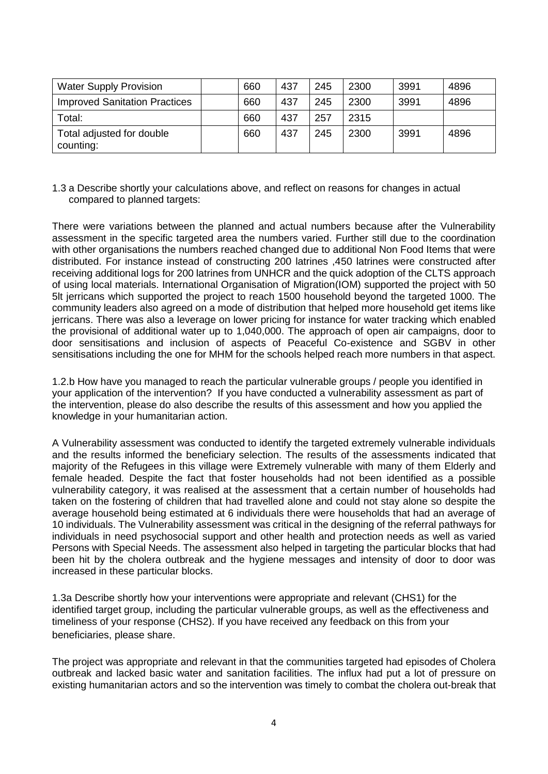| <b>Water Supply Provision</b>          | 660 | 437 | 245 | 2300 | 3991 | 4896 |
|----------------------------------------|-----|-----|-----|------|------|------|
| <b>Improved Sanitation Practices</b>   | 660 | 437 | 245 | 2300 | 3991 | 4896 |
| Total:                                 | 660 | 437 | 257 | 2315 |      |      |
| Total adjusted for double<br>counting: | 660 | 437 | 245 | 2300 | 3991 | 4896 |

1.3 a Describe shortly your calculations above, and reflect on reasons for changes in actual compared to planned targets:

There were variations between the planned and actual numbers because after the Vulnerability assessment in the specific targeted area the numbers varied. Further still due to the coordination with other organisations the numbers reached changed due to additional Non Food Items that were distributed. For instance instead of constructing 200 latrines ,450 latrines were constructed after receiving additional logs for 200 latrines from UNHCR and the quick adoption of the CLTS approach of using local materials. International Organisation of Migration(IOM) supported the project with 50 5lt jerricans which supported the project to reach 1500 household beyond the targeted 1000. The community leaders also agreed on a mode of distribution that helped more household get items like jerricans. There was also a leverage on lower pricing for instance for water tracking which enabled the provisional of additional water up to 1,040,000. The approach of open air campaigns, door to door sensitisations and inclusion of aspects of Peaceful Co-existence and SGBV in other sensitisations including the one for MHM for the schools helped reach more numbers in that aspect.

1.2.b How have you managed to reach the particular vulnerable groups / people you identified in your application of the intervention? If you have conducted a vulnerability assessment as part of the intervention, please do also describe the results of this assessment and how you applied the knowledge in your humanitarian action.

A Vulnerability assessment was conducted to identify the targeted extremely vulnerable individuals and the results informed the beneficiary selection. The results of the assessments indicated that majority of the Refugees in this village were Extremely vulnerable with many of them Elderly and female headed. Despite the fact that foster households had not been identified as a possible vulnerability category, it was realised at the assessment that a certain number of households had taken on the fostering of children that had travelled alone and could not stay alone so despite the average household being estimated at 6 individuals there were households that had an average of 10 individuals. The Vulnerability assessment was critical in the designing of the referral pathways for individuals in need psychosocial support and other health and protection needs as well as varied Persons with Special Needs. The assessment also helped in targeting the particular blocks that had been hit by the cholera outbreak and the hygiene messages and intensity of door to door was increased in these particular blocks.

1.3a Describe shortly how your interventions were appropriate and relevant (CHS1) for the identified target group, including the particular vulnerable groups, as well as the effectiveness and timeliness of your response (CHS2). If you have received any feedback on this from your beneficiaries, please share.

The project was appropriate and relevant in that the communities targeted had episodes of Cholera outbreak and lacked basic water and sanitation facilities. The influx had put a lot of pressure on existing humanitarian actors and so the intervention was timely to combat the cholera out-break that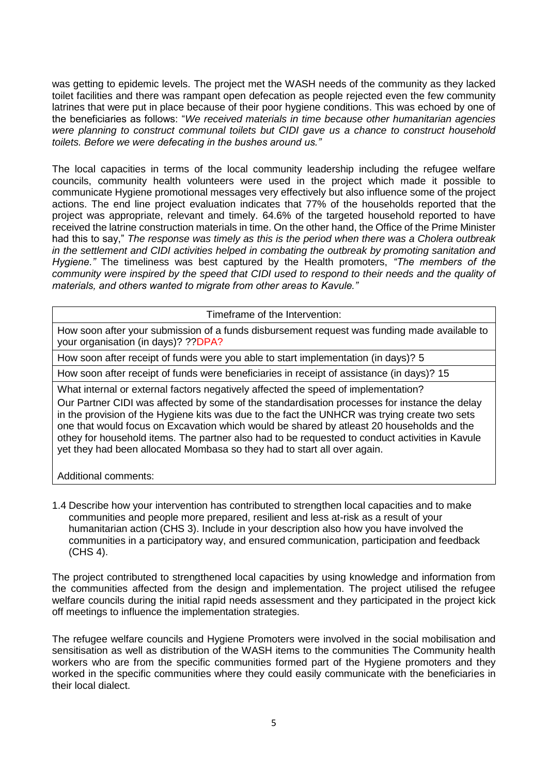was getting to epidemic levels. The project met the WASH needs of the community as they lacked toilet facilities and there was rampant open defecation as people rejected even the few community latrines that were put in place because of their poor hygiene conditions. This was echoed by one of the beneficiaries as follows: "*We received materials in time because other humanitarian agencies were planning to construct communal toilets but CIDI gave us a chance to construct household toilets. Before we were defecating in the bushes around us."*

The local capacities in terms of the local community leadership including the refugee welfare councils, community health volunteers were used in the project which made it possible to communicate Hygiene promotional messages very effectively but also influence some of the project actions. The end line project evaluation indicates that 77% of the households reported that the project was appropriate, relevant and timely. 64.6% of the targeted household reported to have received the latrine construction materials in time. On the other hand, the Office of the Prime Minister had this to say," *The response was timely as this is the period when there was a Cholera outbreak in the settlement and CIDI activities helped in combating the outbreak by promoting sanitation and Hygiene."* The timeliness was best captured by the Health promoters, *"The members of the community were inspired by the speed that CIDI used to respond to their needs and the quality of materials, and others wanted to migrate from other areas to Kavule."*

Timeframe of the Intervention:

How soon after your submission of a funds disbursement request was funding made available to your organisation (in days)? ??DPA?

How soon after receipt of funds were you able to start implementation (in days)? 5

How soon after receipt of funds were beneficiaries in receipt of assistance (in days)? 15

What internal or external factors negatively affected the speed of implementation?

Our Partner CIDI was affected by some of the standardisation processes for instance the delay in the provision of the Hygiene kits was due to the fact the UNHCR was trying create two sets one that would focus on Excavation which would be shared by atleast 20 households and the othey for household items. The partner also had to be requested to conduct activities in Kavule yet they had been allocated Mombasa so they had to start all over again.

Additional comments:

1.4 Describe how your intervention has contributed to strengthen local capacities and to make communities and people more prepared, resilient and less at-risk as a result of your humanitarian action (CHS 3). Include in your description also how you have involved the communities in a participatory way, and ensured communication, participation and feedback (CHS 4).

The project contributed to strengthened local capacities by using knowledge and information from the communities affected from the design and implementation. The project utilised the refugee welfare councils during the initial rapid needs assessment and they participated in the project kick off meetings to influence the implementation strategies.

The refugee welfare councils and Hygiene Promoters were involved in the social mobilisation and sensitisation as well as distribution of the WASH items to the communities The Community health workers who are from the specific communities formed part of the Hygiene promoters and they worked in the specific communities where they could easily communicate with the beneficiaries in their local dialect.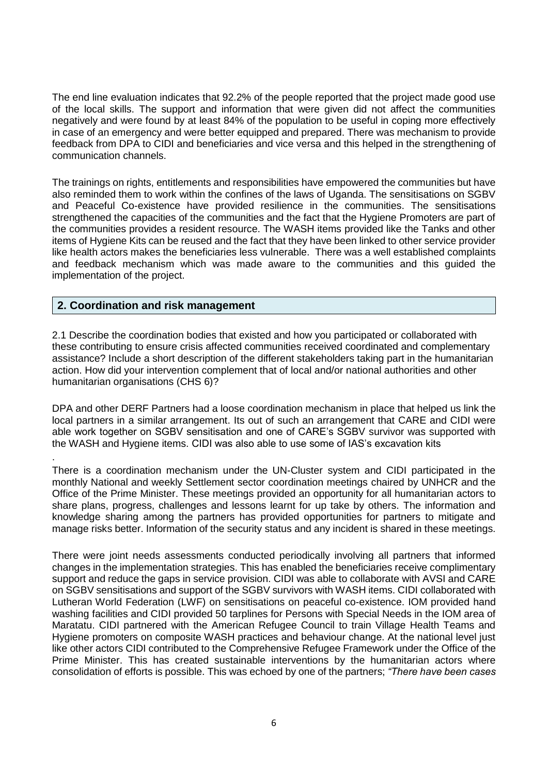The end line evaluation indicates that 92.2% of the people reported that the project made good use of the local skills. The support and information that were given did not affect the communities negatively and were found by at least 84% of the population to be useful in coping more effectively in case of an emergency and were better equipped and prepared. There was mechanism to provide feedback from DPA to CIDI and beneficiaries and vice versa and this helped in the strengthening of communication channels.

The trainings on rights, entitlements and responsibilities have empowered the communities but have also reminded them to work within the confines of the laws of Uganda. The sensitisations on SGBV and Peaceful Co-existence have provided resilience in the communities. The sensitisations strengthened the capacities of the communities and the fact that the Hygiene Promoters are part of the communities provides a resident resource. The WASH items provided like the Tanks and other items of Hygiene Kits can be reused and the fact that they have been linked to other service provider like health actors makes the beneficiaries less vulnerable. There was a well established complaints and feedback mechanism which was made aware to the communities and this guided the implementation of the project.

#### **2. Coordination and risk management**

.

2.1 Describe the coordination bodies that existed and how you participated or collaborated with these contributing to ensure crisis affected communities received coordinated and complementary assistance? Include a short description of the different stakeholders taking part in the humanitarian action. How did your intervention complement that of local and/or national authorities and other humanitarian organisations (CHS 6)?

DPA and other DERF Partners had a loose coordination mechanism in place that helped us link the local partners in a similar arrangement. Its out of such an arrangement that CARE and CIDI were able work together on SGBV sensitisation and one of CARE's SGBV survivor was supported with the WASH and Hygiene items. CIDI was also able to use some of IAS's excavation kits

There is a coordination mechanism under the UN-Cluster system and CIDI participated in the monthly National and weekly Settlement sector coordination meetings chaired by UNHCR and the Office of the Prime Minister. These meetings provided an opportunity for all humanitarian actors to share plans, progress, challenges and lessons learnt for up take by others. The information and knowledge sharing among the partners has provided opportunities for partners to mitigate and manage risks better. Information of the security status and any incident is shared in these meetings.

There were joint needs assessments conducted periodically involving all partners that informed changes in the implementation strategies. This has enabled the beneficiaries receive complimentary support and reduce the gaps in service provision. CIDI was able to collaborate with AVSI and CARE on SGBV sensitisations and support of the SGBV survivors with WASH items. CIDI collaborated with Lutheran World Federation (LWF) on sensitisations on peaceful co-existence. IOM provided hand washing facilities and CIDI provided 50 tarplines for Persons with Special Needs in the IOM area of Maratatu. CIDI partnered with the American Refugee Council to train Village Health Teams and Hygiene promoters on composite WASH practices and behaviour change. At the national level just like other actors CIDI contributed to the Comprehensive Refugee Framework under the Office of the Prime Minister. This has created sustainable interventions by the humanitarian actors where consolidation of efforts is possible. This was echoed by one of the partners; *"There have been cases*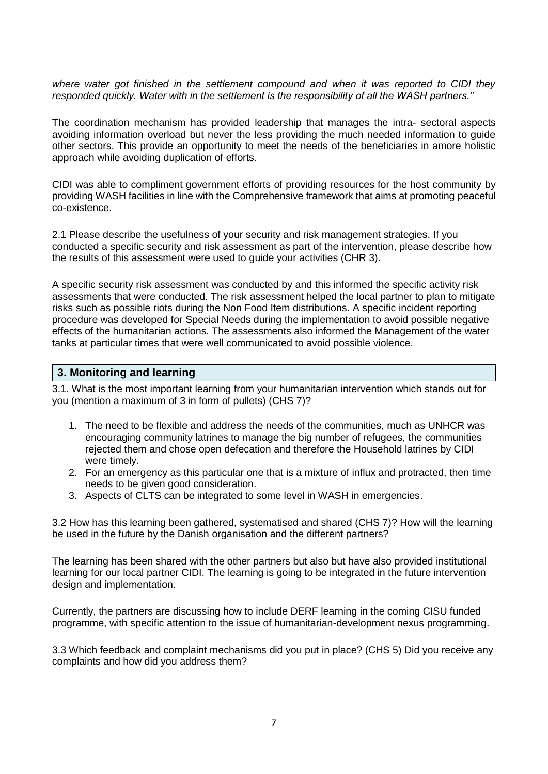where water got finished in the settlement compound and when it was reported to CIDI they *responded quickly. Water with in the settlement is the responsibility of all the WASH partners."*

The coordination mechanism has provided leadership that manages the intra- sectoral aspects avoiding information overload but never the less providing the much needed information to guide other sectors. This provide an opportunity to meet the needs of the beneficiaries in amore holistic approach while avoiding duplication of efforts.

CIDI was able to compliment government efforts of providing resources for the host community by providing WASH facilities in line with the Comprehensive framework that aims at promoting peaceful co-existence.

2.1 Please describe the usefulness of your security and risk management strategies. If you conducted a specific security and risk assessment as part of the intervention, please describe how the results of this assessment were used to guide your activities (CHR 3).

A specific security risk assessment was conducted by and this informed the specific activity risk assessments that were conducted. The risk assessment helped the local partner to plan to mitigate risks such as possible riots during the Non Food Item distributions. A specific incident reporting procedure was developed for Special Needs during the implementation to avoid possible negative effects of the humanitarian actions. The assessments also informed the Management of the water tanks at particular times that were well communicated to avoid possible violence.

#### **3. Monitoring and learning**

3.1. What is the most important learning from your humanitarian intervention which stands out for you (mention a maximum of 3 in form of pullets) (CHS 7)?

- 1. The need to be flexible and address the needs of the communities, much as UNHCR was encouraging community latrines to manage the big number of refugees, the communities rejected them and chose open defecation and therefore the Household latrines by CIDI were timely.
- 2. For an emergency as this particular one that is a mixture of influx and protracted, then time needs to be given good consideration.
- 3. Aspects of CLTS can be integrated to some level in WASH in emergencies.

3.2 How has this learning been gathered, systematised and shared (CHS 7)? How will the learning be used in the future by the Danish organisation and the different partners?

The learning has been shared with the other partners but also but have also provided institutional learning for our local partner CIDI. The learning is going to be integrated in the future intervention design and implementation.

Currently, the partners are discussing how to include DERF learning in the coming CISU funded programme, with specific attention to the issue of humanitarian-development nexus programming.

3.3 Which feedback and complaint mechanisms did you put in place? (CHS 5) Did you receive any complaints and how did you address them?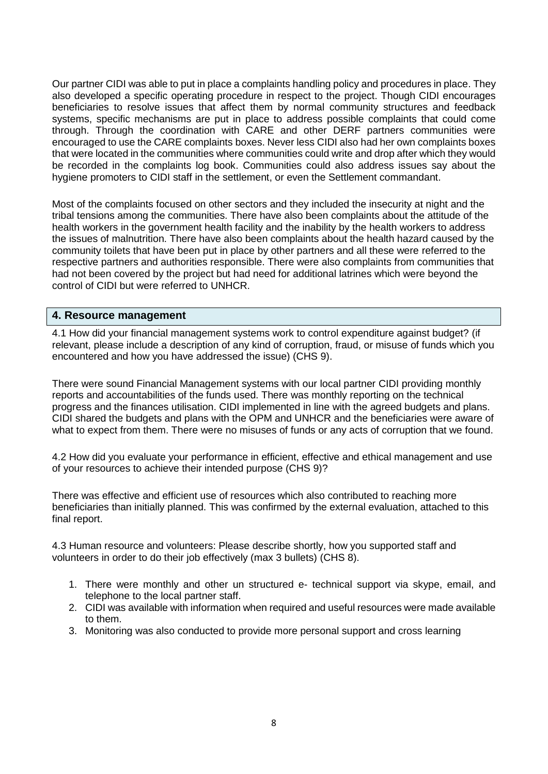Our partner CIDI was able to put in place a complaints handling policy and procedures in place. They also developed a specific operating procedure in respect to the project. Though CIDI encourages beneficiaries to resolve issues that affect them by normal community structures and feedback systems, specific mechanisms are put in place to address possible complaints that could come through. Through the coordination with CARE and other DERF partners communities were encouraged to use the CARE complaints boxes. Never less CIDI also had her own complaints boxes that were located in the communities where communities could write and drop after which they would be recorded in the complaints log book. Communities could also address issues say about the hygiene promoters to CIDI staff in the settlement, or even the Settlement commandant.

Most of the complaints focused on other sectors and they included the insecurity at night and the tribal tensions among the communities. There have also been complaints about the attitude of the health workers in the government health facility and the inability by the health workers to address the issues of malnutrition. There have also been complaints about the health hazard caused by the community toilets that have been put in place by other partners and all these were referred to the respective partners and authorities responsible. There were also complaints from communities that had not been covered by the project but had need for additional latrines which were beyond the control of CIDI but were referred to UNHCR.

#### **4. Resource management**

4.1 How did your financial management systems work to control expenditure against budget? (if relevant, please include a description of any kind of corruption, fraud, or misuse of funds which you encountered and how you have addressed the issue) (CHS 9).

There were sound Financial Management systems with our local partner CIDI providing monthly reports and accountabilities of the funds used. There was monthly reporting on the technical progress and the finances utilisation. CIDI implemented in line with the agreed budgets and plans. CIDI shared the budgets and plans with the OPM and UNHCR and the beneficiaries were aware of what to expect from them. There were no misuses of funds or any acts of corruption that we found.

4.2 How did you evaluate your performance in efficient, effective and ethical management and use of your resources to achieve their intended purpose (CHS 9)?

There was effective and efficient use of resources which also contributed to reaching more beneficiaries than initially planned. This was confirmed by the external evaluation, attached to this final report.

4.3 Human resource and volunteers: Please describe shortly, how you supported staff and volunteers in order to do their job effectively (max 3 bullets) (CHS 8).

- 1. There were monthly and other un structured e- technical support via skype, email, and telephone to the local partner staff.
- 2. CIDI was available with information when required and useful resources were made available to them.
- 3. Monitoring was also conducted to provide more personal support and cross learning